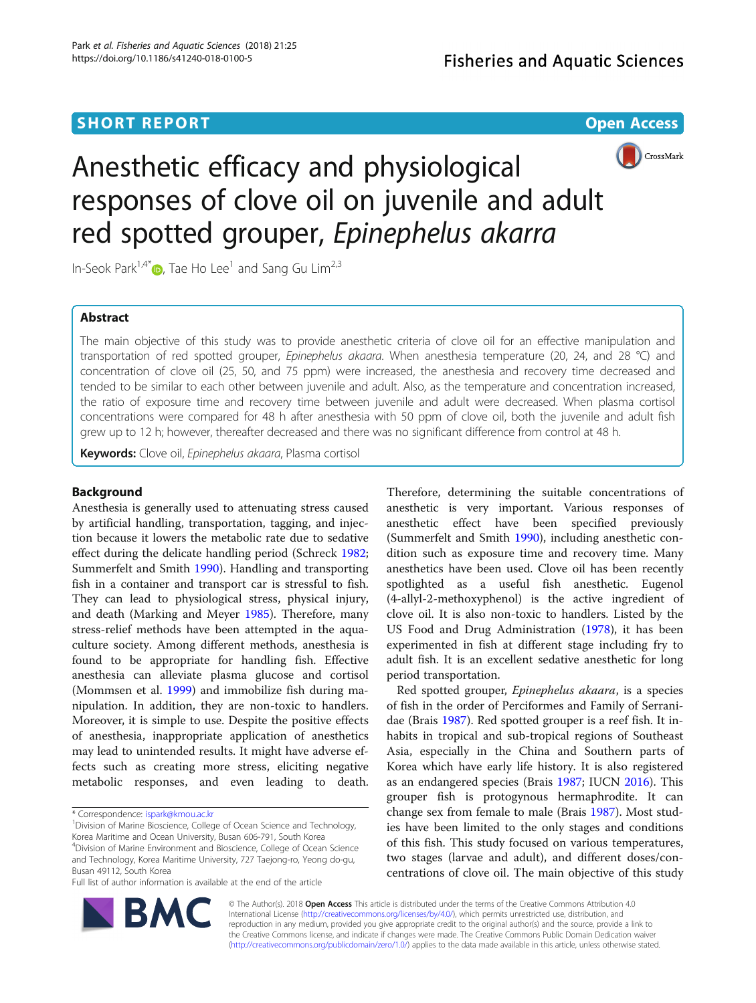# **SHORT REPORT CONSUMING THE CONSUMING OPEN ACCESS**



# Anesthetic efficacy and physiological responses of clove oil on juvenile and adult red spotted grouper, Epinephelus akarra

In-Seok Park<sup>1,4[\\*](http://orcid.org/0000-0001-5990-5320)</sup> $\bullet$ , Tae Ho Lee<sup>1</sup> and Sang Gu Lim<sup>2,3</sup>

# Abstract

The main objective of this study was to provide anesthetic criteria of clove oil for an effective manipulation and transportation of red spotted grouper, Epinephelus akaara. When anesthesia temperature (20, 24, and 28 °C) and concentration of clove oil (25, 50, and 75 ppm) were increased, the anesthesia and recovery time decreased and tended to be similar to each other between juvenile and adult. Also, as the temperature and concentration increased, the ratio of exposure time and recovery time between juvenile and adult were decreased. When plasma cortisol concentrations were compared for 48 h after anesthesia with 50 ppm of clove oil, both the juvenile and adult fish grew up to 12 h; however, thereafter decreased and there was no significant difference from control at 48 h.

Keywords: Clove oil, Epinephelus akaara, Plasma cortisol

# Background

Anesthesia is generally used to attenuating stress caused by artificial handling, transportation, tagging, and injection because it lowers the metabolic rate due to sedative effect during the delicate handling period (Schreck [1982](#page-5-0); Summerfelt and Smith [1990\)](#page-5-0). Handling and transporting fish in a container and transport car is stressful to fish. They can lead to physiological stress, physical injury, and death (Marking and Meyer [1985](#page-4-0)). Therefore, many stress-relief methods have been attempted in the aquaculture society. Among different methods, anesthesia is found to be appropriate for handling fish. Effective anesthesia can alleviate plasma glucose and cortisol (Mommsen et al. [1999](#page-5-0)) and immobilize fish during manipulation. In addition, they are non-toxic to handlers. Moreover, it is simple to use. Despite the positive effects of anesthesia, inappropriate application of anesthetics may lead to unintended results. It might have adverse effects such as creating more stress, eliciting negative metabolic responses, and even leading to death.

<sup>1</sup> Division of Marine Bioscience, College of Ocean Science and Technology, Korea Maritime and Ocean University, Busan 606-791, South Korea 4 Division of Marine Environment and Bioscience, College of Ocean Science and Technology, Korea Maritime University, 727 Taejong-ro, Yeong do-gu, Busan 49112, South Korea

Therefore, determining the suitable concentrations of anesthetic is very important. Various responses of anesthetic effect have been specified previously (Summerfelt and Smith [1990](#page-5-0)), including anesthetic condition such as exposure time and recovery time. Many anesthetics have been used. Clove oil has been recently spotlighted as a useful fish anesthetic. Eugenol (4-allyl-2-methoxyphenol) is the active ingredient of clove oil. It is also non-toxic to handlers. Listed by the US Food and Drug Administration [\(1978\)](#page-5-0), it has been experimented in fish at different stage including fry to adult fish. It is an excellent sedative anesthetic for long period transportation.

Red spotted grouper, Epinephelus akaara, is a species of fish in the order of Perciformes and Family of Serranidae (Brais [1987\)](#page-4-0). Red spotted grouper is a reef fish. It inhabits in tropical and sub-tropical regions of Southeast Asia, especially in the China and Southern parts of Korea which have early life history. It is also registered as an endangered species (Brais [1987;](#page-4-0) IUCN [2016\)](#page-4-0). This grouper fish is protogynous hermaphrodite. It can change sex from female to male (Brais [1987\)](#page-4-0). Most studies have been limited to the only stages and conditions of this fish. This study focused on various temperatures, two stages (larvae and adult), and different doses/concentrations of clove oil. The main objective of this study



© The Author(s). 2018 Open Access This article is distributed under the terms of the Creative Commons Attribution 4.0 International License [\(http://creativecommons.org/licenses/by/4.0/](http://creativecommons.org/licenses/by/4.0/)), which permits unrestricted use, distribution, and reproduction in any medium, provided you give appropriate credit to the original author(s) and the source, provide a link to the Creative Commons license, and indicate if changes were made. The Creative Commons Public Domain Dedication waiver [\(http://creativecommons.org/publicdomain/zero/1.0/](http://creativecommons.org/publicdomain/zero/1.0/)) applies to the data made available in this article, unless otherwise stated.

<sup>\*</sup> Correspondence: [ispark@kmou.ac.kr](mailto:ispark@kmou.ac.kr) <sup>1</sup>

Full list of author information is available at the end of the article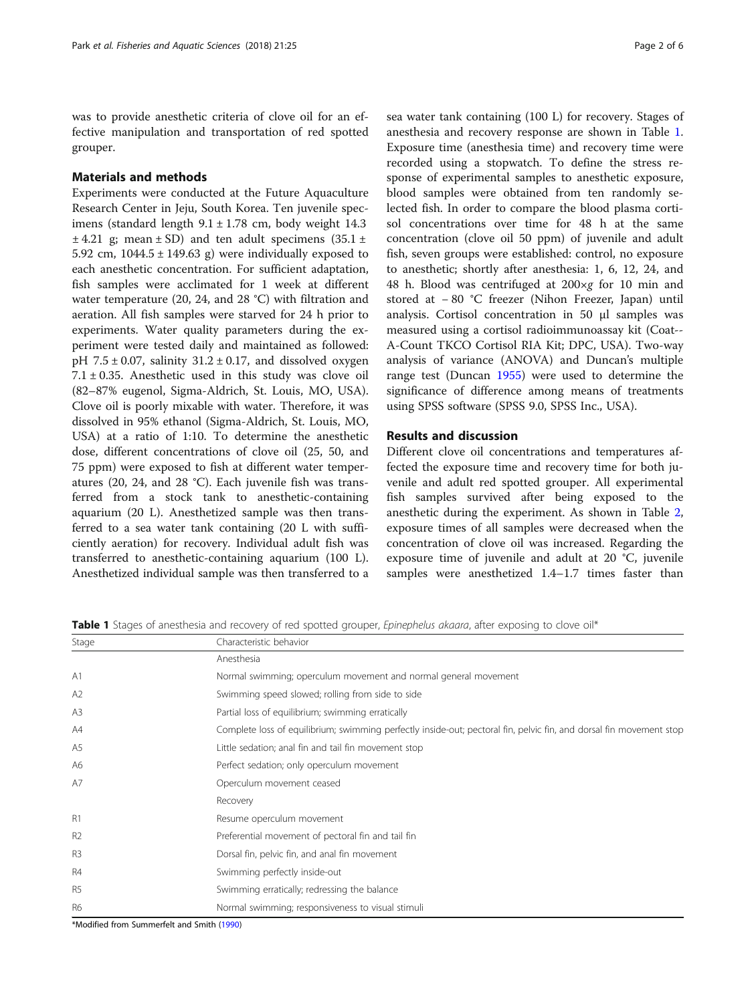was to provide anesthetic criteria of clove oil for an effective manipulation and transportation of red spotted grouper.

## Materials and methods

Experiments were conducted at the Future Aquaculture Research Center in Jeju, South Korea. Ten juvenile specimens (standard length  $9.1 \pm 1.78$  cm, body weight 14.3  $\pm$  4.21 g; mean  $\pm$  SD) and ten adult specimens (35.1  $\pm$ 5.92 cm,  $1044.5 \pm 149.63$  g) were individually exposed to each anesthetic concentration. For sufficient adaptation, fish samples were acclimated for 1 week at different water temperature (20, 24, and 28 °C) with filtration and aeration. All fish samples were starved for 24 h prior to experiments. Water quality parameters during the experiment were tested daily and maintained as followed: pH  $7.5 \pm 0.07$ , salinity  $31.2 \pm 0.17$ , and dissolved oxygen  $7.1 \pm 0.35$ . Anesthetic used in this study was clove oil (82–87% eugenol, Sigma-Aldrich, St. Louis, MO, USA). Clove oil is poorly mixable with water. Therefore, it was dissolved in 95% ethanol (Sigma-Aldrich, St. Louis, MO, USA) at a ratio of 1:10. To determine the anesthetic dose, different concentrations of clove oil (25, 50, and 75 ppm) were exposed to fish at different water temperatures (20, 24, and 28 °C). Each juvenile fish was transferred from a stock tank to anesthetic-containing aquarium (20 L). Anesthetized sample was then transferred to a sea water tank containing (20 L with sufficiently aeration) for recovery. Individual adult fish was transferred to anesthetic-containing aquarium (100 L). Anesthetized individual sample was then transferred to a

sea water tank containing (100 L) for recovery. Stages of anesthesia and recovery response are shown in Table 1. Exposure time (anesthesia time) and recovery time were recorded using a stopwatch. To define the stress response of experimental samples to anesthetic exposure, blood samples were obtained from ten randomly selected fish. In order to compare the blood plasma cortisol concentrations over time for 48 h at the same concentration (clove oil 50 ppm) of juvenile and adult fish, seven groups were established: control, no exposure to anesthetic; shortly after anesthesia: 1, 6, 12, 24, and 48 h. Blood was centrifuged at 200×g for 10 min and stored at − 80 °C freezer (Nihon Freezer, Japan) until analysis. Cortisol concentration in 50 μl samples was measured using a cortisol radioimmunoassay kit (Coat-- A-Count TKCO Cortisol RIA Kit; DPC, USA). Two-way analysis of variance (ANOVA) and Duncan's multiple range test (Duncan [1955](#page-4-0)) were used to determine the significance of difference among means of treatments using SPSS software (SPSS 9.0, SPSS Inc., USA).

# Results and discussion

Different clove oil concentrations and temperatures affected the exposure time and recovery time for both juvenile and adult red spotted grouper. All experimental fish samples survived after being exposed to the anesthetic during the experiment. As shown in Table [2](#page-2-0), exposure times of all samples were decreased when the concentration of clove oil was increased. Regarding the exposure time of juvenile and adult at 20 °C, juvenile samples were anesthetized 1.4–1.7 times faster than

Table 1 Stages of anesthesia and recovery of red spotted grouper, Epinephelus akaara, after exposing to clove oil\*

| Stage          | Characteristic behavior<br>Anesthesia                                                                               |  |  |  |  |
|----------------|---------------------------------------------------------------------------------------------------------------------|--|--|--|--|
|                |                                                                                                                     |  |  |  |  |
| A <sub>1</sub> | Normal swimming; operculum movement and normal general movement                                                     |  |  |  |  |
| A2             | Swimming speed slowed; rolling from side to side                                                                    |  |  |  |  |
| A <sub>3</sub> | Partial loss of equilibrium; swimming erratically                                                                   |  |  |  |  |
| A4             | Complete loss of equilibrium; swimming perfectly inside-out; pectoral fin, pelvic fin, and dorsal fin movement stop |  |  |  |  |
| A5             | Little sedation; anal fin and tail fin movement stop                                                                |  |  |  |  |
| A6             | Perfect sedation; only operculum movement                                                                           |  |  |  |  |
| A7             | Operculum movement ceased                                                                                           |  |  |  |  |
|                | Recovery                                                                                                            |  |  |  |  |
| R1             | Resume operculum movement                                                                                           |  |  |  |  |
| R <sub>2</sub> | Preferential movement of pectoral fin and tail fin                                                                  |  |  |  |  |
| R <sub>3</sub> | Dorsal fin, pelvic fin, and anal fin movement                                                                       |  |  |  |  |
| <b>R4</b>      | Swimming perfectly inside-out                                                                                       |  |  |  |  |
| R <sub>5</sub> | Swimming erratically; redressing the balance                                                                        |  |  |  |  |
| R <sub>6</sub> | Normal swimming; responsiveness to visual stimuli                                                                   |  |  |  |  |

\*Modified from Summerfelt and Smith [\(1990\)](#page-5-0)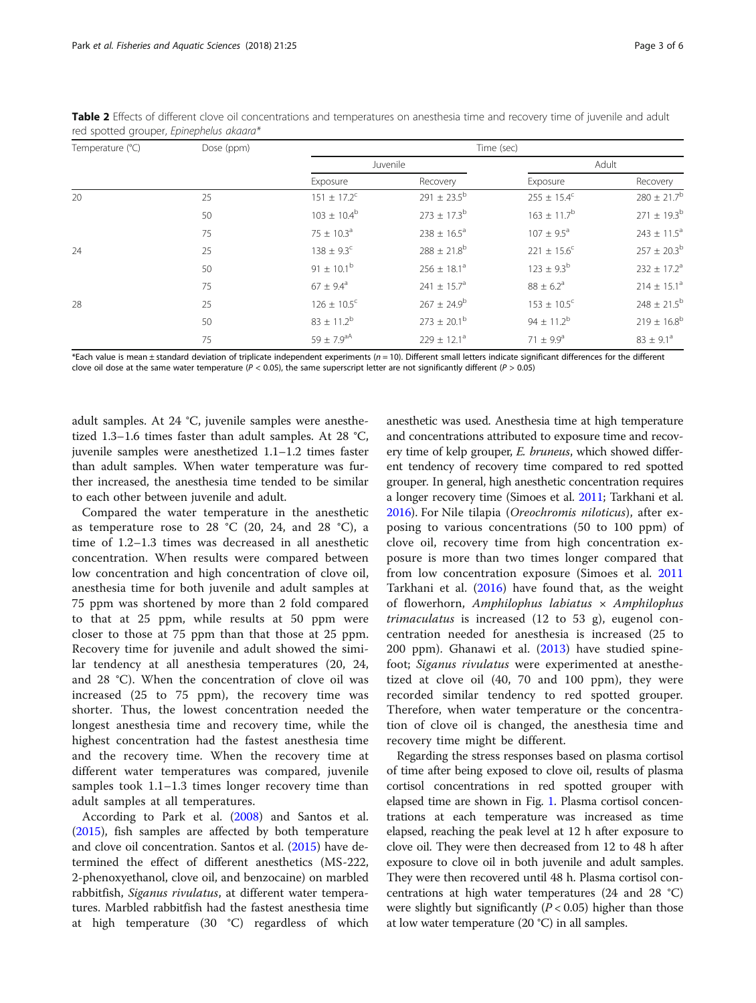| Temperature (°C) | Dose (ppm) | Time (sec)                 |                             |                           |                        |
|------------------|------------|----------------------------|-----------------------------|---------------------------|------------------------|
|                  |            | Juvenile                   |                             | Adult                     |                        |
|                  |            | Exposure                   | Recovery                    | Exposure                  | Recovery               |
| 20               | 25         | $151 \pm 17.2^c$           | $291 \pm 23.5^{\rm b}$      | $255 \pm 15.4^c$          | $280 \pm 21.7^{\rm b}$ |
|                  | 50         | $103 \pm 10.4^b$           | $273 \pm 17.3^b$            | $163 \pm 11.7^b$          | $271 \pm 19.3^b$       |
|                  | 75         | $75 \pm 10.3^{\circ}$      | $238 \pm 16.5^{\circ}$      | $107 \pm 9.5^{\circ}$     | $243 \pm 11.5^a$       |
| 24               | 25         | $138 \pm 9.3^{\circ}$      | $288 \pm 21.8$ <sup>b</sup> | $221 \pm 15.6^{\circ}$    | $257 \pm 20.3^{\rm b}$ |
|                  | 50         | 91 $\pm$ 10.1 <sup>b</sup> | $256 \pm 18.1^a$            | $123 \pm 9.3^{b}$         | $232 \pm 17.2^a$       |
|                  | 75         | $67 \pm 9.4^{\circ}$       | 241 $\pm$ 15.7 <sup>a</sup> | $88 \pm 6.2^{\circ}$      | $214 \pm 15.1^a$       |
| 28               | 25         | $126 \pm 10.5^{\circ}$     | $267 \pm 24.9^b$            | $153 \pm 10.5^{\circ}$    | $248 \pm 21.5^{\rm b}$ |
|                  | 50         | $83 \pm 11.2^b$            | $273 \pm 20.1^{\rm b}$      | $94 \pm 11.2^b$           | $219 \pm 16.8^b$       |
|                  | 75         | 59 ± 7.9 <sup>aA</sup>     | $229 \pm 12.1^a$            | 71 $\pm$ 9.9 <sup>a</sup> | $83 \pm 9.1^{\circ}$   |

<span id="page-2-0"></span>Table 2 Effects of different clove oil concentrations and temperatures on anesthesia time and recovery time of juvenile and adult red spotted grouper, Epinephelus akaara\*

\*Each value is mean ± standard deviation of triplicate independent experiments (n = 10). Different small letters indicate significant differences for the different clove oil dose at the same water temperature ( $P < 0.05$ ), the same superscript letter are not significantly different ( $P > 0.05$ )

adult samples. At 24 °C, juvenile samples were anesthetized 1.3–1.6 times faster than adult samples. At 28 °C, juvenile samples were anesthetized 1.1–1.2 times faster than adult samples. When water temperature was further increased, the anesthesia time tended to be similar to each other between juvenile and adult.

Compared the water temperature in the anesthetic as temperature rose to 28 °C (20, 24, and 28 °C), a time of 1.2–1.3 times was decreased in all anesthetic concentration. When results were compared between low concentration and high concentration of clove oil, anesthesia time for both juvenile and adult samples at 75 ppm was shortened by more than 2 fold compared to that at 25 ppm, while results at 50 ppm were closer to those at 75 ppm than that those at 25 ppm. Recovery time for juvenile and adult showed the similar tendency at all anesthesia temperatures (20, 24, and 28 °C). When the concentration of clove oil was increased (25 to 75 ppm), the recovery time was shorter. Thus, the lowest concentration needed the longest anesthesia time and recovery time, while the highest concentration had the fastest anesthesia time and the recovery time. When the recovery time at different water temperatures was compared, juvenile samples took 1.1–1.3 times longer recovery time than adult samples at all temperatures.

According to Park et al. [\(2008](#page-5-0)) and Santos et al. ([2015](#page-5-0)), fish samples are affected by both temperature and clove oil concentration. Santos et al. ([2015\)](#page-5-0) have determined the effect of different anesthetics (MS-222, 2-phenoxyethanol, clove oil, and benzocaine) on marbled rabbitfish, Siganus rivulatus, at different water temperatures. Marbled rabbitfish had the fastest anesthesia time at high temperature (30 °C) regardless of which

anesthetic was used. Anesthesia time at high temperature and concentrations attributed to exposure time and recovery time of kelp grouper, *E. bruneus*, which showed different tendency of recovery time compared to red spotted grouper. In general, high anesthetic concentration requires a longer recovery time (Simoes et al. [2011](#page-5-0); Tarkhani et al. [2016\)](#page-5-0). For Nile tilapia (Oreochromis niloticus), after exposing to various concentrations (50 to 100 ppm) of clove oil, recovery time from high concentration exposure is more than two times longer compared that from low concentration exposure (Simoes et al. [2011](#page-5-0) Tarkhani et al. [\(2016](#page-5-0)) have found that, as the weight of flowerhorn, Amphilophus labiatus  $\times$  Amphilophus trimaculatus is increased (12 to 53 g), eugenol concentration needed for anesthesia is increased (25 to 200 ppm). Ghanawi et al. ([2013\)](#page-4-0) have studied spinefoot; Siganus rivulatus were experimented at anesthetized at clove oil (40, 70 and 100 ppm), they were recorded similar tendency to red spotted grouper. Therefore, when water temperature or the concentration of clove oil is changed, the anesthesia time and recovery time might be different.

Regarding the stress responses based on plasma cortisol of time after being exposed to clove oil, results of plasma cortisol concentrations in red spotted grouper with elapsed time are shown in Fig. [1.](#page-3-0) Plasma cortisol concentrations at each temperature was increased as time elapsed, reaching the peak level at 12 h after exposure to clove oil. They were then decreased from 12 to 48 h after exposure to clove oil in both juvenile and adult samples. They were then recovered until 48 h. Plasma cortisol concentrations at high water temperatures (24 and 28 °C) were slightly but significantly  $(P < 0.05)$  higher than those at low water temperature (20 °C) in all samples.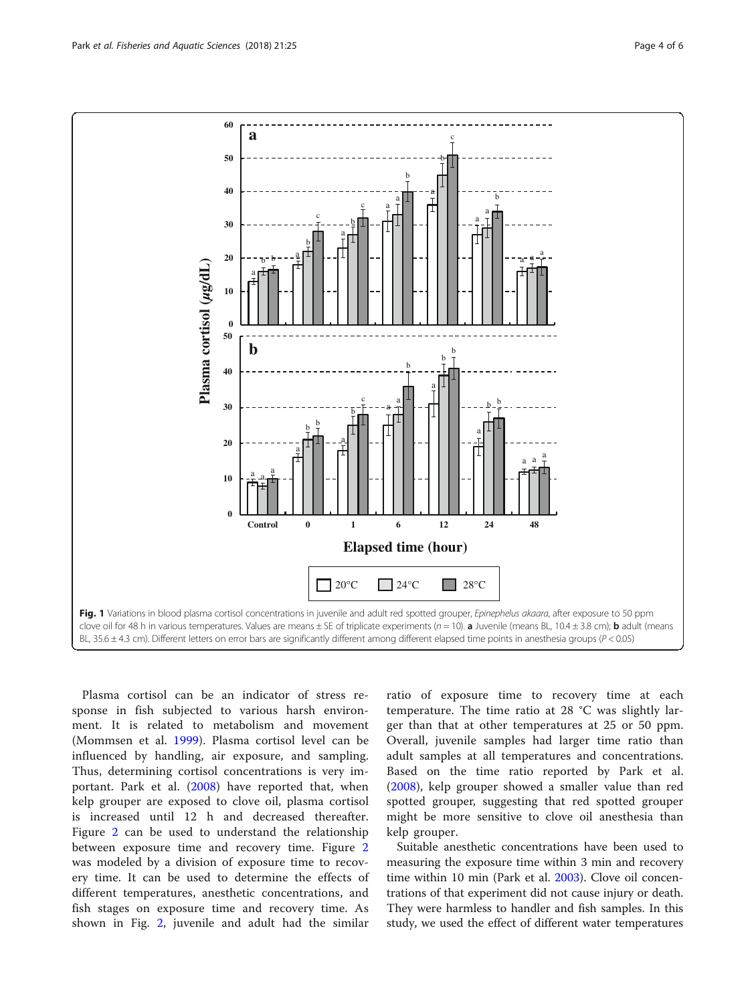<span id="page-3-0"></span>

Plasma cortisol can be an indicator of stress response in fish subjected to various harsh environment. It is related to metabolism and movement (Mommsen et al. [1999\)](#page-5-0). Plasma cortisol level can be influenced by handling, air exposure, and sampling. Thus, determining cortisol concentrations is very important. Park et al. [\(2008](#page-5-0)) have reported that, when kelp grouper are exposed to clove oil, plasma cortisol is increased until 12 h and decreased thereafter. Figure [2](#page-4-0) can be used to understand the relationship between exposure time and recovery time. Figure [2](#page-4-0) was modeled by a division of exposure time to recovery time. It can be used to determine the effects of different temperatures, anesthetic concentrations, and fish stages on exposure time and recovery time. As shown in Fig. [2,](#page-4-0) juvenile and adult had the similar

ratio of exposure time to recovery time at each temperature. The time ratio at 28 °C was slightly larger than that at other temperatures at 25 or 50 ppm. Overall, juvenile samples had larger time ratio than adult samples at all temperatures and concentrations. Based on the time ratio reported by Park et al. ([2008\)](#page-5-0), kelp grouper showed a smaller value than red spotted grouper, suggesting that red spotted grouper might be more sensitive to clove oil anesthesia than kelp grouper.

Suitable anesthetic concentrations have been used to measuring the exposure time within 3 min and recovery time within 10 min (Park et al. [2003\)](#page-5-0). Clove oil concentrations of that experiment did not cause injury or death. They were harmless to handler and fish samples. In this study, we used the effect of different water temperatures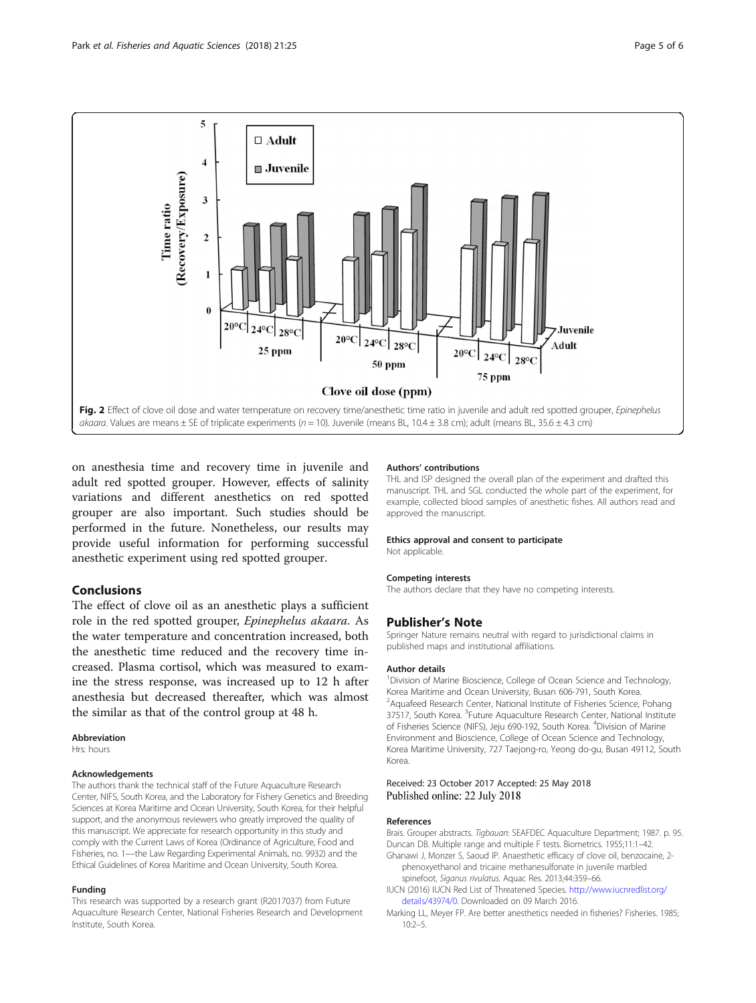<span id="page-4-0"></span>

on anesthesia time and recovery time in juvenile and adult red spotted grouper. However, effects of salinity variations and different anesthetics on red spotted grouper are also important. Such studies should be performed in the future. Nonetheless, our results may provide useful information for performing successful anesthetic experiment using red spotted grouper.

# Conclusions

The effect of clove oil as an anesthetic plays a sufficient role in the red spotted grouper, Epinephelus akaara. As the water temperature and concentration increased, both the anesthetic time reduced and the recovery time increased. Plasma cortisol, which was measured to examine the stress response, was increased up to 12 h after anesthesia but decreased thereafter, which was almost the similar as that of the control group at 48 h.

#### Abbreviation

Hrs: hours

#### Acknowledgements

The authors thank the technical staff of the Future Aquaculture Research Center, NIFS, South Korea, and the Laboratory for Fishery Genetics and Breeding Sciences at Korea Maritime and Ocean University, South Korea, for their helpful support, and the anonymous reviewers who greatly improved the quality of this manuscript. We appreciate for research opportunity in this study and comply with the Current Laws of Korea (Ordinance of Agriculture, Food and Fisheries, no. 1––the Law Regarding Experimental Animals, no. 9932) and the Ethical Guidelines of Korea Maritime and Ocean University, South Korea.

#### Funding

This research was supported by a research grant (R2017037) from Future Aquaculture Research Center, National Fisheries Research and Development Institute, South Korea.

#### Authors' contributions

THL and ISP designed the overall plan of the experiment and drafted this manuscript. THL and SGL conducted the whole part of the experiment, for example, collected blood samples of anesthetic fishes. All authors read and approved the manuscript.

#### Ethics approval and consent to participate

Not applicable.

#### Competing interests

The authors declare that they have no competing interests.

### Publisher's Note

Springer Nature remains neutral with regard to jurisdictional claims in published maps and institutional affiliations.

#### Author details

<sup>1</sup> Division of Marine Bioscience, College of Ocean Science and Technology, Korea Maritime and Ocean University, Busan 606-791, South Korea. <sup>2</sup> Aquafeed Research Center, National Institute of Fisheries Science, Pohang 37517, South Korea. <sup>3</sup>Future Aquaculture Research Center, National Institute of Fisheries Science (NIFS), Jeju 690-192, South Korea. <sup>4</sup>Division of Marine Environment and Bioscience, College of Ocean Science and Technology, Korea Maritime University, 727 Taejong-ro, Yeong do-gu, Busan 49112, South Korea.

#### Received: 23 October 2017 Accepted: 25 May 2018 Published online: 22 July 2018

#### References

Brais. Grouper abstracts. Tigbauan: SEAFDEC Aquaculture Department; 1987. p. 95. Duncan DB. Multiple range and multiple F tests. Biometrics. 1955;11:1–42. Ghanawi J, Monzer S, Saoud IP. Anaesthetic efficacy of clove oil, benzocaine, 2-

- phenoxyethanol and tricaine methanesulfonate in juvenile marbled spinefoot, Siganus rivulatus. Aquac Res. 2013;44:359–66.
- IUCN (2016) IUCN Red List of Threatened Species. [http://www.iucnredlist.org/](http://www.iucnredlist.org/details/43974/0) [details/43974/0](http://www.iucnredlist.org/details/43974/0). Downloaded on 09 March 2016.
- Marking LL, Meyer FP. Are better anesthetics needed in fisheries? Fisheries. 1985; 10:2–5.